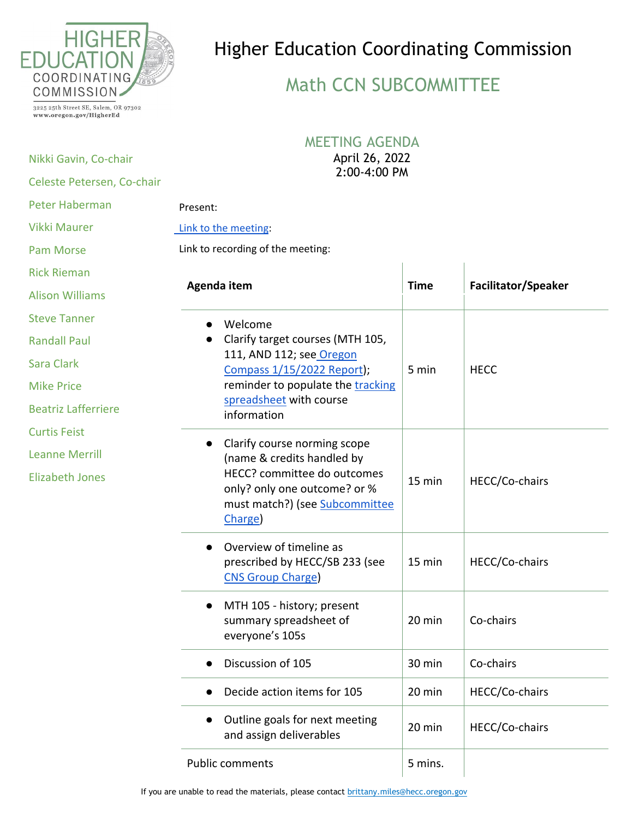

## Higher Education Coordinating Commission

## Math CCN SUBCOMMITTEE

3225 25th Street SE, Salem, OR 97302 www.oregon.gov/HigherEd

Nikki Gavin, Co-chair

## MEETING AGENDA

April 26, 2022

| Celeste Petersen, Co-chair | 2:00-4:00 PM                                                                                                                          |             |                            |
|----------------------------|---------------------------------------------------------------------------------------------------------------------------------------|-------------|----------------------------|
| <b>Peter Haberman</b>      | Present:                                                                                                                              |             |                            |
| <b>Vikki Maurer</b>        | Link to the meeting:                                                                                                                  |             |                            |
| <b>Pam Morse</b>           | Link to recording of the meeting:                                                                                                     |             |                            |
| <b>Rick Rieman</b>         |                                                                                                                                       |             |                            |
| <b>Alison Williams</b>     | Agenda item                                                                                                                           | <b>Time</b> | <b>Facilitator/Speaker</b> |
| <b>Steve Tanner</b>        | Welcome                                                                                                                               |             |                            |
| <b>Randall Paul</b>        | Clarify target courses (MTH 105,                                                                                                      |             |                            |
| Sara Clark                 | 111, AND 112; see Oregon<br>Compass 1/15/2022 Report);<br>reminder to populate the tracking<br>spreadsheet with course<br>information | 5 min       | <b>HECC</b>                |
| <b>Mike Price</b>          |                                                                                                                                       |             |                            |
| <b>Beatriz Lafferriere</b> |                                                                                                                                       |             |                            |
| <b>Curtis Feist</b>        | Clarify course norming scope                                                                                                          |             |                            |
| <b>Leanne Merrill</b>      | (name & credits handled by                                                                                                            |             |                            |
| <b>Elizabeth Jones</b>     | HECC? committee do outcomes<br>only? only one outcome? or %<br>must match?) (see Subcommittee<br>Charge)                              | 15 min      | HECC/Co-chairs             |
|                            | Overview of timeline as<br>prescribed by HECC/SB 233 (see<br><b>CNS Group Charge</b>                                                  | 15 min      | HECC/Co-chairs             |
|                            | MTH 105 - history; present<br>summary spreadsheet of<br>everyone's 105s                                                               | 20 min      | Co-chairs                  |
|                            | Discussion of 105                                                                                                                     | 30 min      | Co-chairs                  |
|                            | Decide action items for 105                                                                                                           | 20 min      | HECC/Co-chairs             |
|                            | Outline goals for next meeting<br>and assign deliverables                                                                             | 20 min      | HECC/Co-chairs             |
|                            | <b>Public comments</b>                                                                                                                | 5 mins.     |                            |

If you are unable to read the materials, please contact [brittany.miles@hecc.oregon.gov](mailto:brittany.miles@hecc.oregon.gov?subject=Unable%20to%20Access%20Public%20Meeting%20Materials)